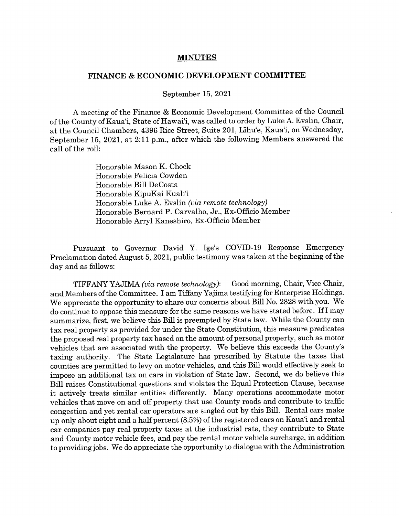## MINUTES

## FINANCE & ECONOMIC DEVELOPMENT COMMITTEE

## September 15, 2021

A meeting of the Finance & Economic Development Committee of the Council of the County of Kaua'i, State of Hawai'i, was called to order by Luke A. Evslin, Chair, at the Council Chambers, 4396 Rice Street, Suite 201, Lihu'e, Kaua'i, on Wednesday, September 15, 2021, at 2:11 p.m., after which the following Members answered the call of the roll:

> Honorable Mason K. Chock Honorable Felicia Cowden Honorable Bill DeCosta Honorable KipuKai Kuali'i Honorable Luke A. Evslin (via remote technology) Honorable Bernard P. Carvaiho, Jr., Ex-Officio Member Honorable Arryl Kaneshiro, Ex-Officio Member

Pursuant to Governor David Y. Ige's COVID-19 Response Emergency Proclamation dated August 5, 2021, public testimony was taken at the beginning of the day and as follows:

TIFFANY YAJIMA (via remote technology): Good morning, Chair, Vice Chair, and Members of the Committee. I am Tiffany Yajima testifying for Enterprise Holdings. We appreciate the opportunity to share our concerns about Bill No. 2828 with you. We do continue to oppose this measure for the same reasons we have stated before. IfI may summarize, first, we believe this Bill is preempted by State law. While the County can tax real property as provided for under the State Constitution, this measure predicates the proposed real property tax based on the amount of personal property, such as motor vehicles that are associated with the property. We believe this exceeds the County's taxing authority. The State Legislature has prescribed by Statute the taxes that counties are permitted to levy on motor vehicles, and this Bill would effectively seek to impose an additional tax on cars in violation of State law. Second, we do believe this Bill raises Constitutional questions and violates the Equal Protection Clause, because it actively treats similar entities differently. Many operations accommodate motor vehicles that move on and off property that use County roads and contribute to traffic congestion and yet rental car operators are singled out by this Bill. Rental cars make up only about eight and a half percent (8.5%) of the registered cars on Kaua'i and rental car companies pay real property taxes at the industrial rate, they contribute to State and County motor vehicle fees, and pay the rental motor vehicle surcharge, in addition to providing jobs. We do appreciate the opportunity to dialogue with the Administration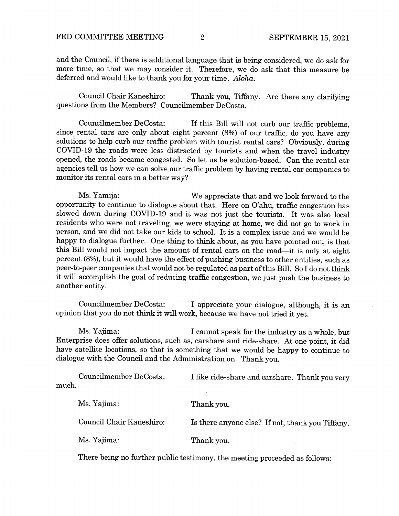and the Council, if there is additional language that is being considered, we do ask for more time, so that we may consider it. Therefore, we do ask that this measure be deferred and would like to thank you for your time. Aloha.

Council Chair Kaneshiro: Thank you, Tiffany. Are there any clarifying questions from the Members? Councilmember DeCosta.

Councilmember DeCosta: If this Bill will not curb our traffic problems, since rental cars are only about eight percent (8%) of our traffic, do you have any solutions to help curb our traffic problem with tourist rental cars? Obviously, during COVID-19 the roads were less distracted by tourists and when the travel industry opened, the roads became congested. So let us be solution-based. Can the rental car agencies tell us how we can solve our traffic problem by having rental car companies to monitor its rental cars in a better way?

Ms. Yamija: We appreciate that and we look forward to the opportunity to continue to dialogue about that. Here on O'ahu, traffic congestion has slowed down during COVID-19 and it was not just the tourists. It was also local residents who were not traveling, we were staying at home, we did not go to work in person, and we did not take our kids to school. It is <sup>a</sup> complex issue and we would be happy to dialogue further. One thing to think about, as you have pointed out, is that this Bill would not impact the amount of rental cars on the road—it is only at eight percent (8%), but it would have the effect of pushing business to other entities, such as peer-to-peer companies that would not be regulated as part ofthis Bill. So I do not think it will accomplish the goal of reducing traffic congestion, we just push the business to another entity.

Councilmember DeCosta: I appreciate your dialogue, although, it is an opinion that you do not think it will work, because we have not tried it yet.

Ms. Yajima: I cannot speak for the industry as a whole, but Enterprise does offer solutions, such as, carshare and ride-share. At one point, it did have satellite locations, so that is something that we would be happy to continue to dialogue with the Council and the Administration on. Thank you.

Councilmember DeCosta: I like ride-share and carshare. Thank you very much.

Ms. Yajima: Thank you. Council Chair Kaneshiro: Is there anyone else? If not, thank you Tiffany. Ms. Yajima: Thank you.

There being no further public testimony, the meeting proceeded as follows: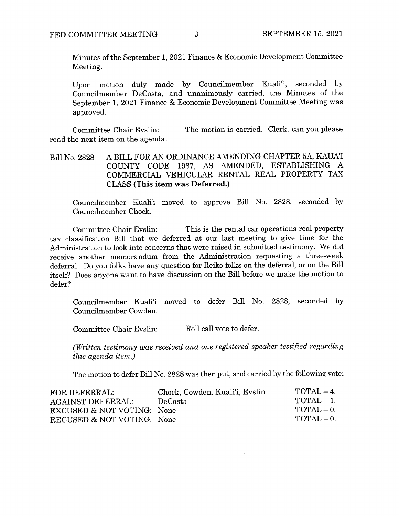Minutes of the September 1, 2021 Finance & Economic Development Committee Meeting.

Upon motion duly made by Councilmember Kuali'i, seconded by Councilmember DeCosta, and unanimously carried, the Minutes of the September 1, 2021 Finance & Economic Development Committee Meeting was approved.

Committee Chair Evslin: The motion is carried. Clerk, can you please read the next item on the agenda.

Bill No. 2828 A BILL FOR AN ORDINANCE AMENDING CHAPTER 5A, KAUA'I COUNTY CODE 1987, AS AMENDED, ESTABLISHING A COMMERCIAL VEHICULAR RENTAL REAL PROPERTY TAX CLASS (This item was Deferred.)

Councilmember Kuali'i moved to approve Bill No. 2828, seconded by Councilmember Chock.

Committee Chair Evslin: This is the rental car operations real property tax classification Bill that we deferred at our last meeting to give time for the Administration to look into concerns that were raised in submitted testimony. We did receive another memorandum from the Administration requesting a three-week deferral. Do you folks have any question for Reiko folks on the deferral, or on the Bifi itself? Does anyone want to have discussion on the Bill before we make the motion to defer?

Councilmember Kuali'i moved to defer Bill No. 2828, seconded by Councilmember Cowden.

Committee Chair Evslin: Roll call vote to defer.

(Written testimony was received and one registered speaker testified regarding this agenda item.)

The motion to defer Bill No. 2828 was then put, and carried by the following vote:

| FOR DEFERRAL:              | Chock, Cowden, Kuali'i, Evslin | $\text{TOTAL}-4,$   |
|----------------------------|--------------------------------|---------------------|
| <b>AGAINST DEFERRAL:</b>   | DeCosta                        | $\text{TOTAL} - 1$  |
| EXCUSED & NOT VOTING: None |                                | $\text{TOTAL} - 0.$ |
| RECUSED & NOT VOTING: None |                                | $\text{normal} = 0$ |